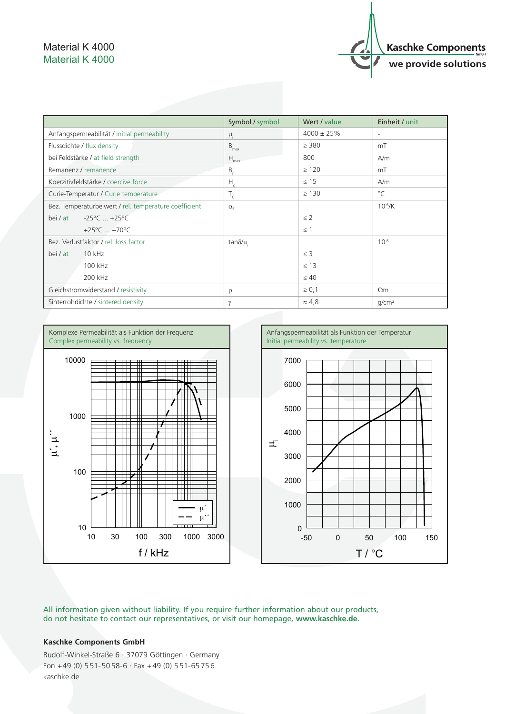## Material K 4000 Material K 4000



|                                                       | Symbol / symbol     | Wert / value    | Einheit / unit           |
|-------------------------------------------------------|---------------------|-----------------|--------------------------|
| Anfangspermeabilität / initial permeability           | $\mu_i$             | $4000 \pm 25\%$ | $\overline{\phantom{a}}$ |
| Flussdichte / flux density                            | $B_{max}$           | $\geq$ 380      | mT                       |
| bei Feldstärke / at field strength                    | $H_{\text{max}}$    | 800             | A/m                      |
| Remanenz / remanence                                  | $B_{r}$             | $\geq 120$      | mT                       |
| Koerzitivfeldstärke / coercive force                  | $H_c$               | $\leq$ 15       | A/m                      |
| Curie-Temperatur / Curie temperature                  | $T_c$               | $\geq$ 130      | $^{\circ}$ C             |
| Bez. Temperaturbeiwert / rel. temperature coefficient | $\alpha_{\epsilon}$ |                 | $10^{-6}$ /K             |
| $-25^{\circ}$ C $+25^{\circ}$ C<br>bei / at           |                     | $\leq$ 2        |                          |
| +25 $^{\circ}$ C  +70 $^{\circ}$ C                    |                     | $\leq$ 1        |                          |
| Bez. Verlustfaktor / rel. loss factor                 | tan $\delta/\mu$    |                 | $10^{-6}$                |
| 10 kHz<br>bei / at                                    |                     | $\leq$ 3        |                          |
| 100 kHz                                               |                     | $\leq 13$       |                          |
| 200 kHz                                               |                     | $\leq 40$       |                          |
| Gleichstromwiderstand / resistivity                   | $\rho$              | $\geq 0,1$      | $\Omega$ m               |
| Sinterrohdichte / sintered density                    | $\gamma$            | $\approx 4.8$   | q/cm <sup>3</sup>        |



All information given without liability. If you require further information about our products, do not hesitate to contact our representatives, or visit our homepage, **www.kaschke.de**.

## **Kaschke Components GmbH**

Rudolf-Winkel-Straße 6 · 37079 Göttingen · Germany Fon  $+49$  (0) 551-5058-6  $\cdot$  Fax  $+49$  (0) 551-65756 kaschke.de